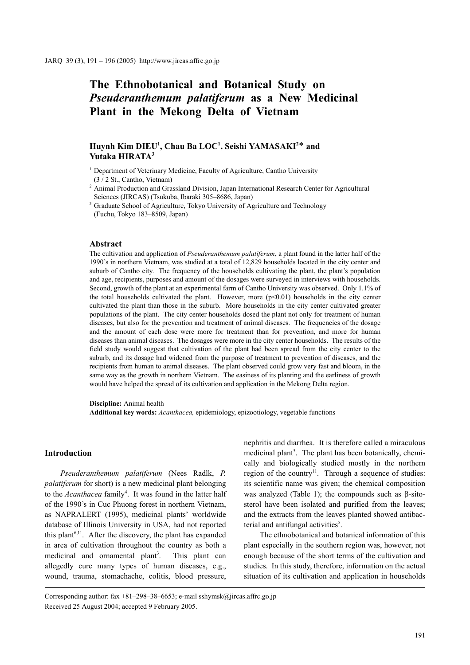# **The Ethnobotanical and Botanical Study on**  *Pseuderanthemum palatiferum* **as a New Medicinal Plant in the Mekong Delta of Vietnam**

# $\text{Huynh Kim}\:\text{DIEU}^1, \text{Chau}\:\text{Ba}\:\text{LOC}^1, \text{Seishi}\:\text{YAMASAKI}^{2*}\:\text{and}\;$ **Yutaka HIRATA3**

<sup>1</sup> Department of Veterinary Medicine, Faculty of Agriculture, Cantho University (3 / 2 St., Cantho, Vietnam)

<sup>2</sup> Animal Production and Grassland Division, Japan International Research Center for Agricultural Sciences (JIRCAS) (Tsukuba, Ibaraki 305–8686, Japan)

<sup>3</sup> Graduate School of Agriculture, Tokyo University of Agriculture and Technology (Fuchu, Tokyo 183–8509, Japan)

#### **Abstract**

The cultivation and application of *Pseuderanthemum palatiferum*, a plant found in the latter half of the 1990's in northern Vietnam, was studied at a total of 12,829 households located in the city center and suburb of Cantho city. The frequency of the households cultivating the plant, the plant's population and age, recipients, purposes and amount of the dosages were surveyed in interviews with households. Second, growth of the plant at an experimental farm of Cantho University was observed. Only 1.1% of the total households cultivated the plant. However, more  $(p<0.01)$  households in the city center cultivated the plant than those in the suburb. More households in the city center cultivated greater populations of the plant. The city center households dosed the plant not only for treatment of human diseases, but also for the prevention and treatment of animal diseases. The frequencies of the dosage and the amount of each dose were more for treatment than for prevention, and more for human diseases than animal diseases. The dosages were more in the city center households. The results of the field study would suggest that cultivation of the plant had been spread from the city center to the suburb, and its dosage had widened from the purpose of treatment to prevention of diseases, and the recipients from human to animal diseases. The plant observed could grow very fast and bloom, in the same way as the growth in northern Vietnam. The easiness of its planting and the earliness of growth would have helped the spread of its cultivation and application in the Mekong Delta region.

**Discipline:** Animal health

**Additional key words:** *Acanthacea,* epidemiology, epizootiology, vegetable functions

# **Introduction**

*Pseuderanthemum palatiferum* (Nees Radlk, *P. palatiferum* for short) is a new medicinal plant belonging to the *Acanthacea* family<sup>4</sup>. It was found in the latter half of the 1990's in Cuc Phuong forest in northern Vietnam, as NAPRALERT (1995), medicinal plants' worldwide database of Illinois University in USA, had not reported this plant<sup>6,11</sup>. After the discovery, the plant has expanded in area of cultivation throughout the country as both a medicinal and ornamental plant<sup>3</sup>. . This plant can allegedly cure many types of human diseases, e.g., wound, trauma, stomachache, colitis, blood pressure, nephritis and diarrhea. It is therefore called a miraculous medicinal plant<sup>5</sup>. The plant has been botanically, chemically and biologically studied mostly in the northern region of the country<sup>11</sup>. Through a sequence of studies: its scientific name was given; the chemical composition was analyzed (Table 1); the compounds such as β-sitosterol have been isolated and purified from the leaves; and the extracts from the leaves planted showed antibacterial and antifungal activities<sup>5</sup>.

The ethnobotanical and botanical information of this plant especially in the southern region was, however, not enough because of the short terms of the cultivation and studies. In this study, therefore, information on the actual situation of its cultivation and application in households

Corresponding author: fax  $+81-298-38-6653$ ; e-mail sshymsk@jircas.affrc.go.jp Received 25 August 2004; accepted 9 February 2005.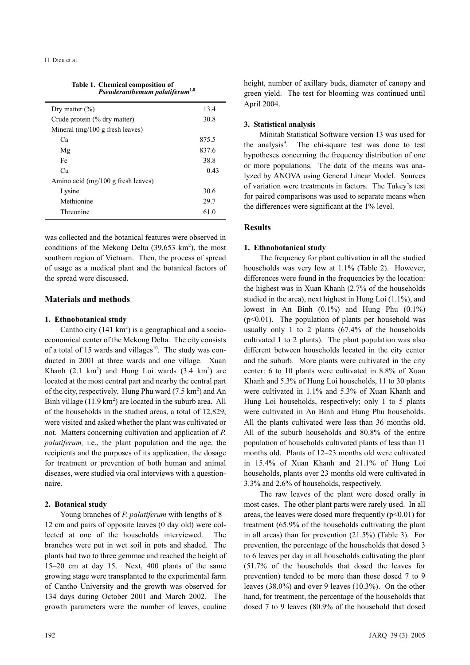**Table 1. Chemical composition of**  *Pseuderanthemum palatiferum***1,8**

| Dry matter $(\% )$                   | 13.4  |
|--------------------------------------|-------|
| Crude protein (% dry matter)         | 30.8  |
| Mineral $(mg/100 g$ fresh leaves)    |       |
| Ca                                   | 875.5 |
| Mg                                   | 837.6 |
| Fe                                   | 38.8  |
| Cu                                   | 0.43  |
| Amino acid $(mg/100 g$ fresh leaves) |       |
| Lysine                               | 30.6  |
| Methionine                           | 29.7  |
| Threonine                            | 61 0  |
|                                      |       |

was collected and the botanical features were observed in conditions of the Mekong Delta  $(39,653 \text{ km}^2)$ , the most southern region of Vietnam. Then, the process of spread of usage as a medical plant and the botanical factors of the spread were discussed.

# **Materials and methods**

#### **1. Ethnobotanical study**

Cantho city  $(141 \text{ km}^2)$  is a geographical and a socioeconomical center of the Mekong Delta. The city consists of a total of 15 wards and villages $10$ . The study was conducted in 2001 at three wards and one village. Xuan Khanh  $(2.1 \text{ km}^2)$  and Hung Loi wards  $(3.4 \text{ km}^2)$  are located at the most central part and nearby the central part of the city, respectively. Hung Phu ward  $(7.5 \text{ km}^2)$  and An Binh village  $(11.9 \text{ km}^2)$  are located in the suburb area. All of the households in the studied areas, a total of 12,829, were visited and asked whether the plant was cultivated or not. Matters concerning cultivation and application of *P. palatiferum,* i.e., the plant population and the age, the recipients and the purposes of its application, the dosage for treatment or prevention of both human and animal diseases, were studied via oral interviews with a questionnaire.

#### **2. Botanical study**

Young branches of *P. palatiferum* with lengths of 8– 12 cm and pairs of opposite leaves (0 day old) were collected at one of the households interviewed. The branches were put in wet soil in pots and shaded. The plants had two to three gemmae and reached the height of 15–20 cm at day 15. Next, 400 plants of the same growing stage were transplanted to the experimental farm of Cantho University and the growth was observed for 134 days during October 2001 and March 2002. The growth parameters were the number of leaves, cauline height, number of axillary buds, diameter of canopy and green yield. The test for blooming was continued until April 2004.

#### **3. Statistical analysis**

Minitab Statistical Software version 13 was used for the analysis<sup>9</sup>. The chi-square test was done to test hypotheses concerning the frequency distribution of one or more populations. The data of the means was analyzed by ANOVA using General Linear Model. Sources of variation were treatments in factors. The Tukey's test for paired comparisons was used to separate means when the differences were significant at the 1% level.

#### **Results**

#### **1. Ethnobotanical study**

The frequency for plant cultivation in all the studied households was very low at 1.1% (Table 2). However, differences were found in the frequencies by the location: the highest was in Xuan Khanh (2.7% of the households studied in the area), next highest in Hung Loi (1.1%), and lowest in An Binh (0.1%) and Hung Phu (0.1%)  $(p<0.01)$ . The population of plants per household was usually only 1 to 2 plants (67.4% of the households cultivated 1 to 2 plants). The plant population was also different between households located in the city center and the suburb. More plants were cultivated in the city center: 6 to 10 plants were cultivated in 8.8% of Xuan Khanh and 5.3% of Hung Loi households, 11 to 30 plants were cultivated in 1.1% and 5.3% of Xuan Khanh and Hung Loi households, respectively; only 1 to 5 plants were cultivated in An Binh and Hung Phu households. All the plants cultivated were less than 36 months old. All of the suburb households and 80.8% of the entire population of households cultivated plants of less than 11 months old. Plants of 12–23 months old were cultivated in 15.4% of Xuan Khanh and 21.1% of Hung Loi households, plants over 23 months old were cultivated in 3.3% and 2.6% of households, respectively.

The raw leaves of the plant were dosed orally in most cases. The other plant parts were rarely used. In all areas, the leaves were dosed more frequently  $(p<0.01)$  for treatment (65.9% of the households cultivating the plant in all areas) than for prevention (21.5%) (Table 3). For prevention, the percentage of the households that dosed 3 to 6 leaves per day in all households cultivating the plant (51.7% of the households that dosed the leaves for prevention) tended to be more than those dosed 7 to 9 leaves (38.0%) and over 9 leaves (10.3%). On the other hand, for treatment, the percentage of the households that dosed 7 to 9 leaves (80.9% of the household that dosed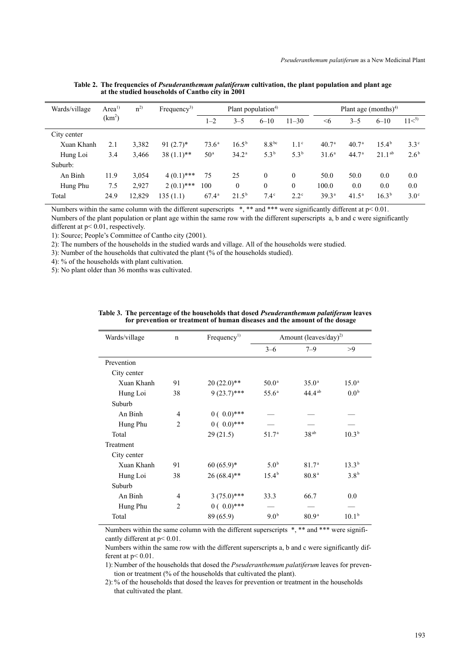| Wards/village | Area <sup>1)</sup><br>$n^{2}$ |        |              |                 | Frequency <sup>3)</sup> | Plant population <sup>4)</sup> |                  |                   | Plant age $(months)^4$ |                |                  |
|---------------|-------------------------------|--------|--------------|-----------------|-------------------------|--------------------------------|------------------|-------------------|------------------------|----------------|------------------|
|               | (km <sup>2</sup> )            |        |              | $1 - 2$         | $3 - 5$                 | $6 - 10$                       | $11 - 30$        | $\leq 6$          | $3 - 5$                | $6 - 10$       | 11 <sup>5</sup>  |
| City center   |                               |        |              |                 |                         |                                |                  |                   |                        |                |                  |
| Xuan Khanh    | 2.1                           | 3,382  | $91(2.7)^*$  | $73.6^{\circ}$  | $16.5^{b}$              | 8.8 <sup>bc</sup>              | 1.1 <sup>c</sup> | 40.7 <sup>a</sup> | 40.7 <sup>a</sup>      | $15.4^{\circ}$ | $3.3^\circ$      |
| Hung Loi      | 3.4                           | 3,466  | $38(1.1)$ ** | 50 <sup>a</sup> | $34.2^{\rm a}$          | $5.3^{b}$                      | $5.3^{b}$        | 31.6 <sup>a</sup> | 44.7 <sup>a</sup>      | $21.1^{ab}$    | 2.6 <sup>b</sup> |
| Suburb:       |                               |        |              |                 |                         |                                |                  |                   |                        |                |                  |
| An Binh       | 11.9                          | 3,054  | $4(0.1)$ *** | 75              | 25                      | $\theta$                       | $\theta$         | 50.0              | 50.0                   | 0.0            | 0.0              |
| Hung Phu      | 7.5                           | 2,927  | $2(0.1)$ *** | 100             | $\mathbf{0}$            | $\mathbf{0}$                   | $\theta$         | 100.0             | 0.0                    | 0.0            | 0.0              |
| Total         | 24.9                          | 12,829 | 135(1.1)     | $67.4^{\rm a}$  | $21.5^{b}$              | $7.4^\circ$                    | $2.2^{\circ}$    | 39.3 <sup>a</sup> | $41.5^{\circ}$         | $16.3^{b}$     | $3.0^\circ$      |
|               |                               |        |              |                 |                         |                                |                  |                   |                        |                |                  |

**Table 2. The frequencies of** *Pseuderanthemum palatiferum* **cultivation, the plant population and plant age at the studied households of Cantho city in 2001**

Numbers within the same column with the different superscripts \*, \*\* and \*\*\* were significantly different at p< 0.01. Numbers of the plant population or plant age within the same row with the different superscripts a, b and c were significantly

different at p< 0.01, respectively.

1): Source; People's Committee of Cantho city (2001).

2): The numbers of the households in the studied wards and village. All of the households were studied.

3): Number of the households that cultivated the plant (% of the households studied).

4): % of the households with plant cultivation.

5): No plant older than 36 months was cultivated.

| Wards/village | $\mathbf n$    | Frequency <sup>1)</sup> | Amount (leaves/day) <sup>2)</sup> |                   |                   |
|---------------|----------------|-------------------------|-----------------------------------|-------------------|-------------------|
|               |                |                         | $3 - 6$                           | $7 - 9$           | >9                |
| Prevention    |                |                         |                                   |                   |                   |
| City center   |                |                         |                                   |                   |                   |
| Xuan Khanh    | 91             | $20(22.0)$ **           | 50.0 <sup>a</sup>                 | $35.0^{\circ}$    | $15.0^{\rm a}$    |
| Hung Loi      | 38             | $9(23.7)$ ***           | 55.6 <sup>a</sup>                 | $44.4^{ab}$       | 0.0 <sup>b</sup>  |
| Suburb        |                |                         |                                   |                   |                   |
| An Binh       | 4              | $0(0.0)$ ***            |                                   |                   |                   |
| Hung Phu      | $\overline{2}$ | $0(0.0)***$             |                                   |                   |                   |
| Total         |                | 29(21.5)                | 51.7 <sup>a</sup>                 | 38 <sup>ab</sup>  | $10.3^{b}$        |
| Treatment     |                |                         |                                   |                   |                   |
| City center   |                |                         |                                   |                   |                   |
| Xuan Khanh    | 91             | $60(65.9)$ *            | 5.0 <sup>b</sup>                  | 81.7 <sup>a</sup> | $13.3^{b}$        |
| Hung Loi      | 38             | $26(68.4)$ **           | $15.4^{b}$                        | 80.8 <sup>a</sup> | 3.8 <sup>b</sup>  |
| Suburb        |                |                         |                                   |                   |                   |
| An Binh       | 4              | $3(75.0)$ ***           | 33.3                              | 66.7              | 0.0               |
| Hung Phu      | $\mathfrak{D}$ | $0(0.0)***$             |                                   |                   |                   |
| Total         |                | 89 (65.9)               | 9.0 <sup>b</sup>                  | 80.9 <sup>a</sup> | 10.1 <sup>b</sup> |
|               |                |                         |                                   |                   |                   |

**Table 3. The percentage of the households that dosed** *Pseuderanthemum palatiferum* **leaves for prevention or treatment of human diseases and the amount of the dosage** 

Numbers within the same column with the different superscripts  $*, **$  and  $***$  were significantly different at p< 0.01.

Numbers within the same row with the different superscripts a, b and c were significantly different at p< 0.01.

1): Number of the households that dosed the *Pseuderanthemum palatiferum* leaves for prevention or treatment (% of the households that cultivated the plant).

2): % of the households that dosed the leaves for prevention or treatment in the households that cultivated the plant.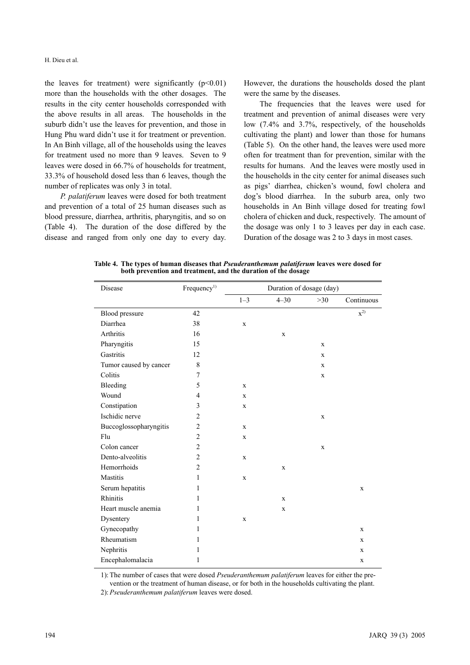the leaves for treatment) were significantly  $(p<0.01)$ more than the households with the other dosages. The results in the city center households corresponded with the above results in all areas. The households in the suburb didn't use the leaves for prevention, and those in Hung Phu ward didn't use it for treatment or prevention. In An Binh village, all of the households using the leaves for treatment used no more than 9 leaves. Seven to 9 leaves were dosed in 66.7% of households for treatment, 33.3% of household dosed less than 6 leaves, though the number of replicates was only 3 in total.

*P. palatiferum* leaves were dosed for both treatment and prevention of a total of 25 human diseases such as blood pressure, diarrhea, arthritis, pharyngitis, and so on (Table 4). The duration of the dose differed by the disease and ranged from only one day to every day.

However, the durations the households dosed the plant were the same by the diseases.

The frequencies that the leaves were used for treatment and prevention of animal diseases were very low (7.4% and 3.7%, respectively, of the households cultivating the plant) and lower than those for humans (Table 5). On the other hand, the leaves were used more often for treatment than for prevention, similar with the results for humans. And the leaves were mostly used in the households in the city center for animal diseases such as pigs' diarrhea, chicken's wound, fowl cholera and dog's blood diarrhea. In the suburb area, only two households in An Binh village dosed for treating fowl cholera of chicken and duck, respectively. The amount of the dosage was only 1 to 3 leaves per day in each case. Duration of the dosage was 2 to 3 days in most cases.

| Disease                | Frequency <sup>1)</sup> | Duration of dosage (day) |             |             |             |
|------------------------|-------------------------|--------------------------|-------------|-------------|-------------|
|                        |                         | $1 - 3$                  | $4 - 30$    | $>30$       | Continuous  |
| Blood pressure         | 42                      |                          |             |             | $x^{2)}$    |
| Diarrhea               | 38                      | $\mathbf X$              |             |             |             |
| Arthritis              | 16                      |                          | $\mathbf X$ |             |             |
| Pharyngitis            | 15                      |                          |             | $\mathbf X$ |             |
| Gastritis              | 12                      |                          |             | $\mathbf X$ |             |
| Tumor caused by cancer | $\,8\,$                 |                          |             | $\mathbf X$ |             |
| Colitis                | 7                       |                          |             | $\mathbf X$ |             |
| Bleeding               | 5                       | $\mathbf X$              |             |             |             |
| Wound                  | 4                       | X                        |             |             |             |
| Constipation           | 3                       | $\mathbf X$              |             |             |             |
| Ischidic nerve         | $\overline{2}$          |                          |             | $\mathbf X$ |             |
| Buccoglossopharyngitis | $\overline{c}$          | $\mathbf X$              |             |             |             |
| Flu                    | $\overline{c}$          | $\mathbf X$              |             |             |             |
| Colon cancer           | $\overline{c}$          |                          |             | $\mathbf X$ |             |
| Dento-alveolitis       | $\overline{c}$          | $\mathbf X$              |             |             |             |
| Hemorrhoids            | $\overline{2}$          |                          | $\mathbf X$ |             |             |
| Mastitis               | 1                       | $\mathbf X$              |             |             |             |
| Serum hepatitis        | 1                       |                          |             |             | $\mathbf X$ |
| Rhinitis               | 1                       |                          | $\mathbf X$ |             |             |
| Heart muscle anemia    | 1                       |                          | $\mathbf X$ |             |             |
| Dysentery              | 1                       | $\mathbf X$              |             |             |             |
| Gynecopathy            | 1                       |                          |             |             | $\mathbf X$ |
| Rheumatism             | 1                       |                          |             |             | X           |
| Nephritis              | 1                       |                          |             |             | $\mathbf X$ |
| Encephalomalacia       | 1                       |                          |             |             | $\mathbf X$ |

**Table 4. The types of human diseases that** *Pseuderanthemum palatiferum* **leaves were dosed for both prevention and treatment, and the duration of the dosage**

1): The number of cases that were dosed *Pseuderanthemum palatiferum* leaves for either the prevention or the treatment of human disease, or for both in the households cultivating the plant.

2): *Pseuderanthemum palatiferum* leaves were dosed.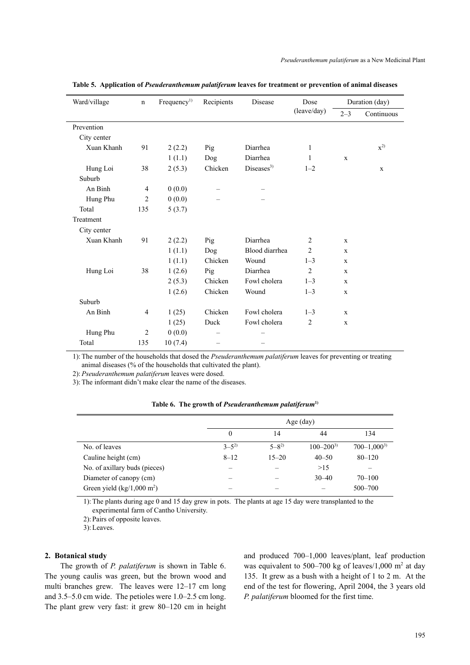| Ward/village | $\mathbf n$    | Frequency <sup>1</sup> | Recipients | Disease                | Dose           | Duration (day) |                  |
|--------------|----------------|------------------------|------------|------------------------|----------------|----------------|------------------|
|              |                |                        |            |                        | (leave/day)    | $2 - 3$        | Continuous       |
| Prevention   |                |                        |            |                        |                |                |                  |
| City center  |                |                        |            |                        |                |                |                  |
| Xuan Khanh   | 91             | 2(2.2)                 | Pig        | Diarrhea               | $\mathbf{1}$   |                | $\mathbf{x}^{2}$ |
|              |                | 1(1.1)                 | Dog        | Diarrhea               | 1              | $\mathbf x$    |                  |
| Hung Loi     | 38             | 2(5.3)                 | Chicken    | Diseases <sup>3)</sup> | $1 - 2$        |                | $\mathbf{x}$     |
| Suburb       |                |                        |            |                        |                |                |                  |
| An Binh      | $\overline{4}$ | 0(0.0)                 |            |                        |                |                |                  |
| Hung Phu     | $\overline{2}$ | 0(0.0)                 |            |                        |                |                |                  |
| Total        | 135            | 5(3.7)                 |            |                        |                |                |                  |
| Treatment    |                |                        |            |                        |                |                |                  |
| City center  |                |                        |            |                        |                |                |                  |
| Xuan Khanh   | 91             | 2(2.2)                 | Pig        | Diarrhea               | 2              | $\mathbf x$    |                  |
|              |                | 1(1.1)                 | Dog        | Blood diarrhea         | $\overline{2}$ | $\mathbf X$    |                  |
|              |                | 1(1.1)                 | Chicken    | Wound                  | $1 - 3$        | $\mathbf X$    |                  |
| Hung Loi     | 38             | 1(2.6)                 | Pig        | Diarrhea               | $\overline{c}$ | $\mathbf X$    |                  |
|              |                | 2(5.3)                 | Chicken    | Fowl cholera           | $1 - 3$        | $\mathbf x$    |                  |
|              |                | 1(2.6)                 | Chicken    | Wound                  | $1 - 3$        | $\mathbf x$    |                  |
| Suburb       |                |                        |            |                        |                |                |                  |
| An Binh      | $\overline{4}$ | 1(25)                  | Chicken    | Fowl cholera           | $1 - 3$        | $\mathbf x$    |                  |
|              |                | 1(25)                  | Duck       | Fowl cholera           | $\overline{2}$ | $\mathbf X$    |                  |
| Hung Phu     | $\overline{2}$ | 0(0.0)                 |            |                        |                |                |                  |
| Total        | 135            | 10(7.4)                |            |                        |                |                |                  |

**Table 5. Application of** *Pseuderanthemum palatiferum* **leaves for treatment or prevention of animal diseases**

1): The number of the households that dosed the *Pseuderanthemum palatiferum* leaves for preventing or treating animal diseases (% of the households that cultivated the plant).

2):*Pseuderanthemum palatiferum* leaves were dosed.

3): The informant didn't make clear the name of the diseases.

|  |  | Table 6. The growth of Pseuderanthemum palatiferum <sup>1)</sup> |  |
|--|--|------------------------------------------------------------------|--|
|--|--|------------------------------------------------------------------|--|

|                                      | Age (day)            |             |                 |                   |  |  |  |
|--------------------------------------|----------------------|-------------|-----------------|-------------------|--|--|--|
|                                      | 0<br>44<br>134<br>14 |             |                 |                   |  |  |  |
| No. of leaves                        | $3-5^{2}$            | $5 - 8^{2}$ | $100 - 200^{3}$ | $700 - 1,000^{3}$ |  |  |  |
| Cauline height (cm)                  | $8 - 12$             | $15 - 20$   | $40 - 50$       | $80 - 120$        |  |  |  |
| No. of axillary buds (pieces)        | -                    |             | >15             |                   |  |  |  |
| Diameter of canopy (cm)              |                      |             | $30 - 40$       | $70 - 100$        |  |  |  |
| Green yield $(kg/1,000 \text{ m}^2)$ |                      |             |                 | $500 - 700$       |  |  |  |

1): The plants during age 0 and 15 day grew in pots. The plants at age 15 day were transplanted to the experimental farm of Cantho University.

2): Pairs of opposite leaves.

3): Leaves.

#### **2. Botanical study**

J.

The growth of *P. palatiferum* is shown in Table 6. The young caulis was green, but the brown wood and multi branches grew. The leaves were 12–17 cm long and 3.5–5.0 cm wide. The petioles were 1.0–2.5 cm long. The plant grew very fast: it grew 80–120 cm in height and produced 700–1,000 leaves/plant, leaf production was equivalent to 500–700 kg of leaves/1,000  $m<sup>2</sup>$  at day 135. It grew as a bush with a height of 1 to 2 m. At the end of the test for flowering, April 2004, the 3 years old *P. palatiferum* bloomed for the first time.